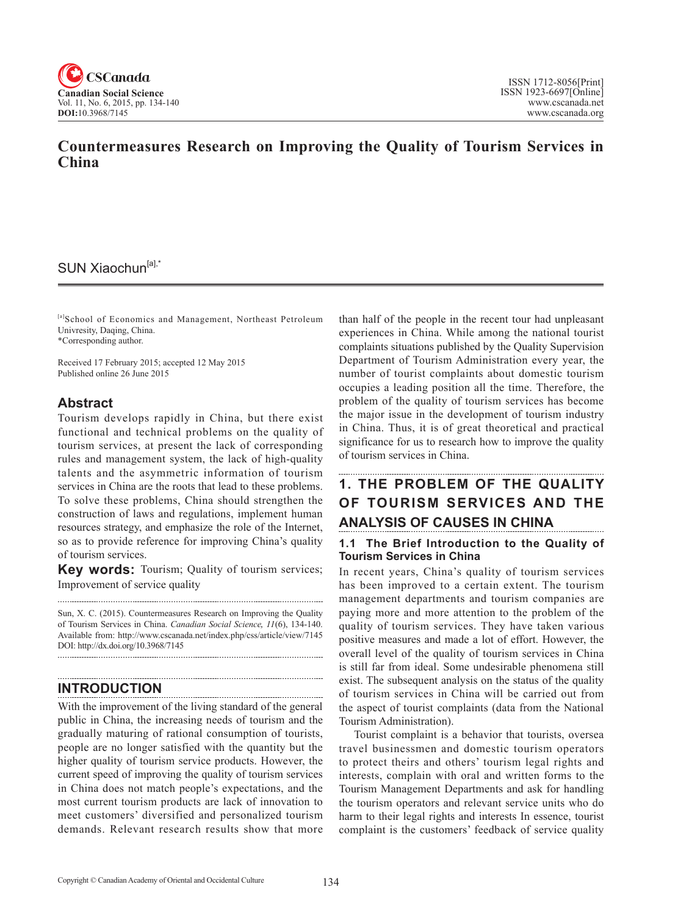

# **Countermeasures Research on Improving the Quality of Tourism Services in China**

## SUN Xiaochun<sup>[a],\*</sup>

[a]School of Economics and Management, Northeast Petroleum Univresity, Daqing, China. \*Corresponding author.

Received 17 February 2015; accepted 12 May 2015 Published online 26 June 2015

## **Abstract**

Tourism develops rapidly in China, but there exist functional and technical problems on the quality of tourism services, at present the lack of corresponding rules and management system, the lack of high-quality talents and the asymmetric information of tourism services in China are the roots that lead to these problems. To solve these problems, China should strengthen the construction of laws and regulations, implement human resources strategy, and emphasize the role of the Internet, so as to provide reference for improving China's quality of tourism services.

**Key words:** Tourism; Quality of tourism services; Improvement of service quality

Sun, X. C. (2015). Countermeasures Research on Improving the Quality of Tourism Services in China. *Canadian Social Science*, <sup>11</sup>(6), 134-140. Available from: http://www.cscanada.net/index.php/css/article/view/7145 DOI: http://dx.doi.org/10.3968/7145

## **INTRODUCTION**

With the improvement of the living standard of the general public in China, the increasing needs of tourism and the gradually maturing of rational consumption of tourists, people are no longer satisfied with the quantity but the higher quality of tourism service products. However, the current speed of improving the quality of tourism services in China does not match people's expectations, and the most current tourism products are lack of innovation to meet customers' diversified and personalized tourism demands. Relevant research results show that more

than half of the people in the recent tour had unpleasant experiences in China. While among the national tourist complaints situations published by the Quality Supervision Department of Tourism Administration every year, the number of tourist complaints about domestic tourism occupies a leading position all the time. Therefore, the problem of the quality of tourism services has become the major issue in the development of tourism industry in China. Thus, it is of great theoretical and practical significance for us to research how to improve the quality of tourism services in China.

# **1. THE PROBLEM OF THE QUALITY OF TOURISM SERVICES AND THE ANALYSIS OF CAUSES IN CHINA**

## **1.1 The Brief Introduction to the Quality of Tourism Services in China**

In recent years, China's quality of tourism services has been improved to a certain extent. The tourism management departments and tourism companies are paying more and more attention to the problem of the quality of tourism services. They have taken various positive measures and made a lot of effort. However, the overall level of the quality of tourism services in China is still far from ideal. Some undesirable phenomena still exist. The subsequent analysis on the status of the quality of tourism services in China will be carried out from the aspect of tourist complaints (data from the National Tourism Administration).

Tourist complaint is a behavior that tourists, oversea travel businessmen and domestic tourism operators to protect theirs and others' tourism legal rights and interests, complain with oral and written forms to the Tourism Management Departments and ask for handling the tourism operators and relevant service units who do harm to their legal rights and interests In essence, tourist complaint is the customers' feedback of service quality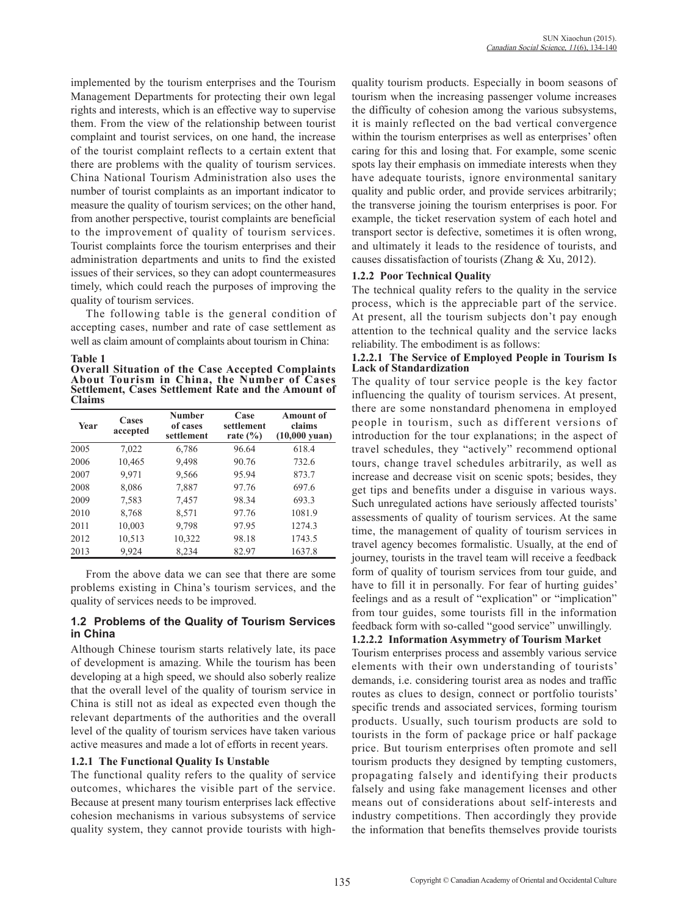implemented by the tourism enterprises and the Tourism Management Departments for protecting their own legal rights and interests, which is an effective way to supervise them. From the view of the relationship between tourist complaint and tourist services, on one hand, the increase of the tourist complaint reflects to a certain extent that there are problems with the quality of tourism services. China National Tourism Administration also uses the number of tourist complaints as an important indicator to measure the quality of tourism services; on the other hand, from another perspective, tourist complaints are beneficial to the improvement of quality of tourism services. Tourist complaints force the tourism enterprises and their administration departments and units to find the existed issues of their services, so they can adopt countermeasures timely, which could reach the purposes of improving the quality of tourism services.

The following table is the general condition of accepting cases, number and rate of case settlement as well as claim amount of complaints about tourism in China:

### **Table 1**

**Overall Situation of the Case Accepted Complaints About Tourism in China, the Number of Cases Settlement, Cases Settlement Rate and the Amount of Claims**

| Year | Cases<br>accepted | <b>Number</b><br>of cases<br>settlement | Case<br>settlement<br>rate $(\% )$ | <b>Amount of</b><br>claims<br>$(10,000 \text{ yuan})$ |
|------|-------------------|-----------------------------------------|------------------------------------|-------------------------------------------------------|
| 2005 | 7,022             | 6,786                                   | 96.64                              | 618.4                                                 |
| 2006 | 10,465            | 9,498                                   | 90.76                              | 732.6                                                 |
| 2007 | 9,971             | 9,566                                   | 95.94                              | 873.7                                                 |
| 2008 | 8,086             | 7,887                                   | 97.76                              | 697.6                                                 |
| 2009 | 7,583             | 7,457                                   | 98.34                              | 693.3                                                 |
| 2010 | 8,768             | 8,571                                   | 97.76                              | 1081.9                                                |
| 2011 | 10,003            | 9,798                                   | 97.95                              | 1274.3                                                |
| 2012 | 10,513            | 10,322                                  | 98.18                              | 1743.5                                                |
| 2013 | 9,924             | 8,234                                   | 82.97                              | 1637.8                                                |

From the above data we can see that there are some problems existing in China's tourism services, and the quality of services needs to be improved.

### **1.2 Problems of the Quality of Tourism Services in China**

Although Chinese tourism starts relatively late, its pace of development is amazing. While the tourism has been developing at a high speed, we should also soberly realize that the overall level of the quality of tourism service in China is still not as ideal as expected even though the relevant departments of the authorities and the overall level of the quality of tourism services have taken various active measures and made a lot of efforts in recent years.

### **1.2.1 The Functional Quality Is Unstable**

The functional quality refers to the quality of service outcomes, whichares the visible part of the service. Because at present many tourism enterprises lack effective cohesion mechanisms in various subsystems of service quality system, they cannot provide tourists with highquality tourism products. Especially in boom seasons of tourism when the increasing passenger volume increases the difficulty of cohesion among the various subsystems, it is mainly reflected on the bad vertical convergence within the tourism enterprises as well as enterprises' often caring for this and losing that. For example, some scenic spots lay their emphasis on immediate interests when they have adequate tourists, ignore environmental sanitary quality and public order, and provide services arbitrarily; the transverse joining the tourism enterprises is poor. For example, the ticket reservation system of each hotel and transport sector is defective, sometimes it is often wrong, and ultimately it leads to the residence of tourists, and causes dissatisfaction of tourists (Zhang & Xu, 2012).

### **1.2.2 Poor Technical Quality**

The technical quality refers to the quality in the service process, which is the appreciable part of the service. At present, all the tourism subjects don't pay enough attention to the technical quality and the service lacks reliability. The embodiment is as follows:

### **1.2.2.1 The Service of Employed People in Tourism Is Lack of Standardization**

The quality of tour service people is the key factor influencing the quality of tourism services. At present, there are some nonstandard phenomena in employed people in tourism, such as different versions of introduction for the tour explanations; in the aspect of travel schedules, they "actively" recommend optional tours, change travel schedules arbitrarily, as well as increase and decrease visit on scenic spots; besides, they get tips and benefits under a disguise in various ways. Such unregulated actions have seriously affected tourists' assessments of quality of tourism services. At the same time, the management of quality of tourism services in travel agency becomes formalistic. Usually, at the end of journey, tourists in the travel team will receive a feedback form of quality of tourism services from tour guide, and have to fill it in personally. For fear of hurting guides' feelings and as a result of "explication" or "implication" from tour guides, some tourists fill in the information feedback form with so-called "good service" unwillingly.

## **1.2.2.2 Information Asymmetry of Tourism Market**

Tourism enterprises process and assembly various service elements with their own understanding of tourists' demands, i.e. considering tourist area as nodes and traffic routes as clues to design, connect or portfolio tourists' specific trends and associated services, forming tourism products. Usually, such tourism products are sold to tourists in the form of package price or half package price. But tourism enterprises often promote and sell tourism products they designed by tempting customers, propagating falsely and identifying their products falsely and using fake management licenses and other means out of considerations about self-interests and industry competitions. Then accordingly they provide the information that benefits themselves provide tourists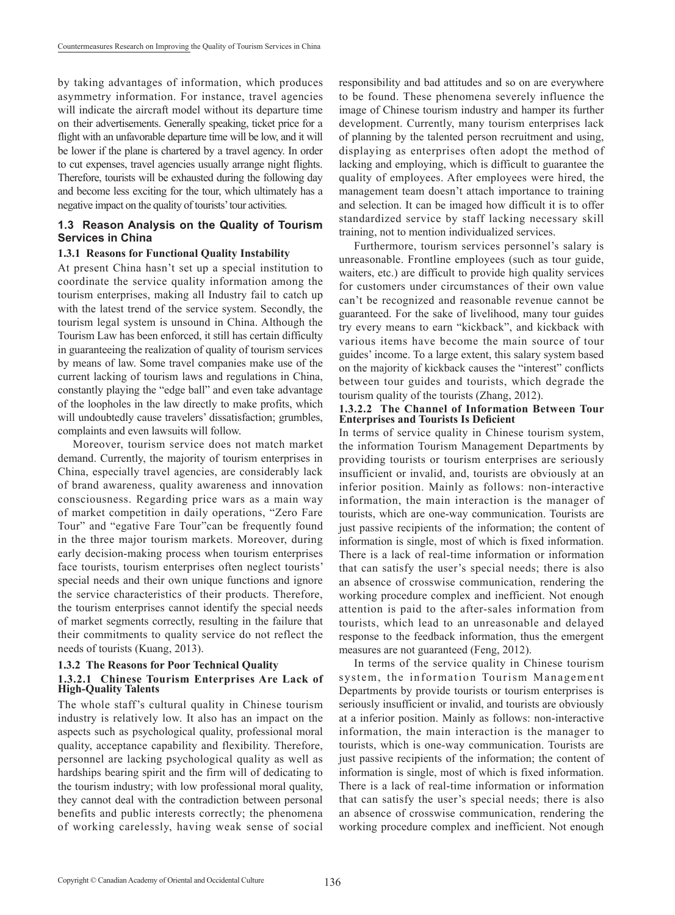by taking advantages of information, which produces asymmetry information. For instance, travel agencies will indicate the aircraft model without its departure time on their advertisements. Generally speaking, ticket price for a flight with an unfavorable departure time will be low, and it will be lower if the plane is chartered by a travel agency. In order to cut expenses, travel agencies usually arrange night flights. Therefore, tourists will be exhausted during the following day and become less exciting for the tour, which ultimately has a negative impact on the quality of tourists' tour activities.

### **1.3 Reason Analysis on the Quality of Tourism Services in China**

### **1.3.1 Reasons for Functional Quality Instability**

At present China hasn't set up a special institution to coordinate the service quality information among the tourism enterprises, making all Industry fail to catch up with the latest trend of the service system. Secondly, the tourism legal system is unsound in China. Although the Tourism Law has been enforced, it still has certain difficulty in guaranteeing the realization of quality of tourism services by means of law. Some travel companies make use of the current lacking of tourism laws and regulations in China, constantly playing the "edge ball" and even take advantage of the loopholes in the law directly to make profits, which will undoubtedly cause travelers' dissatisfaction; grumbles, complaints and even lawsuits will follow.

Moreover, tourism service does not match market demand. Currently, the majority of tourism enterprises in China, especially travel agencies, are considerably lack of brand awareness, quality awareness and innovation consciousness. Regarding price wars as a main way of market competition in daily operations, "Zero Fare Tour" and "egative Fare Tour"can be frequently found in the three major tourism markets. Moreover, during early decision-making process when tourism enterprises face tourists, tourism enterprises often neglect tourists' special needs and their own unique functions and ignore the service characteristics of their products. Therefore, the tourism enterprises cannot identify the special needs of market segments correctly, resulting in the failure that their commitments to quality service do not reflect the needs of tourists (Kuang, 2013).

### **1.3.2 The Reasons for Poor Technical Quality 1.3.2.1 Chinese Tourism Enterprises Are Lack of High-Quality Talents**

The whole staff's cultural quality in Chinese tourism industry is relatively low. It also has an impact on the aspects such as psychological quality, professional moral quality, acceptance capability and flexibility. Therefore, personnel are lacking psychological quality as well as hardships bearing spirit and the firm will of dedicating to the tourism industry; with low professional moral quality, they cannot deal with the contradiction between personal benefits and public interests correctly; the phenomena of working carelessly, having weak sense of social responsibility and bad attitudes and so on are everywhere to be found. These phenomena severely influence the image of Chinese tourism industry and hamper its further development. Currently, many tourism enterprises lack of planning by the talented person recruitment and using, displaying as enterprises often adopt the method of lacking and employing, which is difficult to guarantee the quality of employees. After employees were hired, the management team doesn't attach importance to training and selection. It can be imaged how difficult it is to offer standardized service by staff lacking necessary skill training, not to mention individualized services.

Furthermore, tourism services personnel's salary is unreasonable. Frontline employees (such as tour guide, waiters, etc.) are difficult to provide high quality services for customers under circumstances of their own value can't be recognized and reasonable revenue cannot be guaranteed. For the sake of livelihood, many tour guides try every means to earn "kickback", and kickback with various items have become the main source of tour guides' income. To a large extent, this salary system based on the majority of kickback causes the "interest" conflicts between tour guides and tourists, which degrade the tourism quality of the tourists (Zhang, 2012).

### **1.3.2.2 The Channel of Information Between Tour Enterprises and Tourists Is Deficient**

In terms of service quality in Chinese tourism system, the information Tourism Management Departments by providing tourists or tourism enterprises are seriously insufficient or invalid, and, tourists are obviously at an inferior position. Mainly as follows: non-interactive information, the main interaction is the manager of tourists, which are one-way communication. Tourists are just passive recipients of the information; the content of information is single, most of which is fixed information. There is a lack of real-time information or information that can satisfy the user's special needs; there is also an absence of crosswise communication, rendering the working procedure complex and inefficient. Not enough attention is paid to the after-sales information from tourists, which lead to an unreasonable and delayed response to the feedback information, thus the emergent measures are not guaranteed (Feng, 2012).

In terms of the service quality in Chinese tourism system, the information Tourism Management Departments by provide tourists or tourism enterprises is seriously insufficient or invalid, and tourists are obviously at a inferior position. Mainly as follows: non-interactive information, the main interaction is the manager to tourists, which is one-way communication. Tourists are just passive recipients of the information; the content of information is single, most of which is fixed information. There is a lack of real-time information or information that can satisfy the user's special needs; there is also an absence of crosswise communication, rendering the working procedure complex and inefficient. Not enough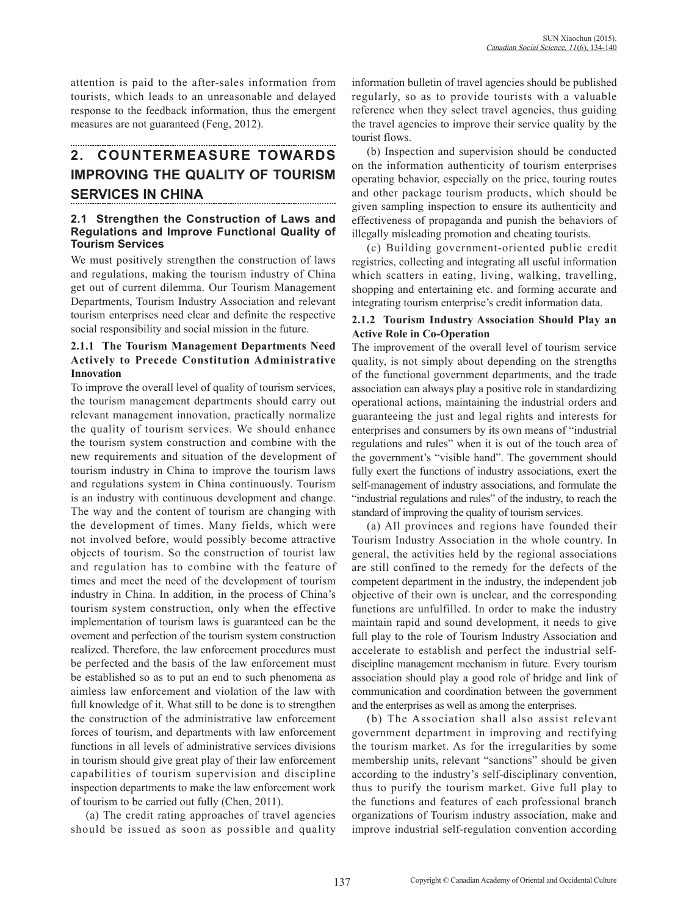attention is paid to the after-sales information from tourists, which leads to an unreasonable and delayed response to the feedback information, thus the emergent measures are not guaranteed (Feng, 2012).

# **2. COUNTERMEASURE TOWARDS IMPROVING THE QUALITY OF TOURISM SERVICES IN CHINA**

### **2.1 Strengthen the Construction of Laws and Regulations and Improve Functional Quality of Tourism Services**

We must positively strengthen the construction of laws and regulations, making the tourism industry of China get out of current dilemma. Our Tourism Management Departments, Tourism Industry Association and relevant tourism enterprises need clear and definite the respective social responsibility and social mission in the future.

### **2.1.1 The Tourism Management Departments Need Actively to Precede Constitution Administrative Innovation**

To improve the overall level of quality of tourism services, the tourism management departments should carry out relevant management innovation, practically normalize the quality of tourism services. We should enhance the tourism system construction and combine with the new requirements and situation of the development of tourism industry in China to improve the tourism laws and regulations system in China continuously. Tourism is an industry with continuous development and change. The way and the content of tourism are changing with the development of times. Many fields, which were not involved before, would possibly become attractive objects of tourism. So the construction of tourist law and regulation has to combine with the feature of times and meet the need of the development of tourism industry in China. In addition, in the process of China's tourism system construction, only when the effective implementation of tourism laws is guaranteed can be the ovement and perfection of the tourism system construction realized. Therefore, the law enforcement procedures must be perfected and the basis of the law enforcement must be established so as to put an end to such phenomena as aimless law enforcement and violation of the law with full knowledge of it. What still to be done is to strengthen the construction of the administrative law enforcement forces of tourism, and departments with law enforcement functions in all levels of administrative services divisions in tourism should give great play of their law enforcement capabilities of tourism supervision and discipline inspection departments to make the law enforcement work of tourism to be carried out fully (Chen, 2011).

(a) The credit rating approaches of travel agencies should be issued as soon as possible and quality information bulletin of travel agencies should be published regularly, so as to provide tourists with a valuable reference when they select travel agencies, thus guiding the travel agencies to improve their service quality by the tourist flows.

(b) Inspection and supervision should be conducted on the information authenticity of tourism enterprises operating behavior, especially on the price, touring routes and other package tourism products, which should be given sampling inspection to ensure its authenticity and effectiveness of propaganda and punish the behaviors of illegally misleading promotion and cheating tourists.

(c) Building government-oriented public credit registries, collecting and integrating all useful information which scatters in eating, living, walking, travelling, shopping and entertaining etc. and forming accurate and integrating tourism enterprise's credit information data.

## **2.1.2 Tourism Industry Association Should Play an Active Role in Co-Operation**

The improvement of the overall level of tourism service quality, is not simply about depending on the strengths of the functional government departments, and the trade association can always play a positive role in standardizing operational actions, maintaining the industrial orders and guaranteeing the just and legal rights and interests for enterprises and consumers by its own means of "industrial regulations and rules" when it is out of the touch area of the government's "visible hand". The government should fully exert the functions of industry associations, exert the self-management of industry associations, and formulate the "industrial regulations and rules" of the industry, to reach the standard of improving the quality of tourism services.

(a) All provinces and regions have founded their Tourism Industry Association in the whole country. In general, the activities held by the regional associations are still confined to the remedy for the defects of the competent department in the industry, the independent job objective of their own is unclear, and the corresponding functions are unfulfilled. In order to make the industry maintain rapid and sound development, it needs to give full play to the role of Tourism Industry Association and accelerate to establish and perfect the industrial selfdiscipline management mechanism in future. Every tourism association should play a good role of bridge and link of communication and coordination between the government and the enterprises as well as among the enterprises.

(b) The Association shall also assist relevant government department in improving and rectifying the tourism market. As for the irregularities by some membership units, relevant "sanctions" should be given according to the industry's self-disciplinary convention, thus to purify the tourism market. Give full play to the functions and features of each professional branch organizations of Tourism industry association, make and improve industrial self-regulation convention according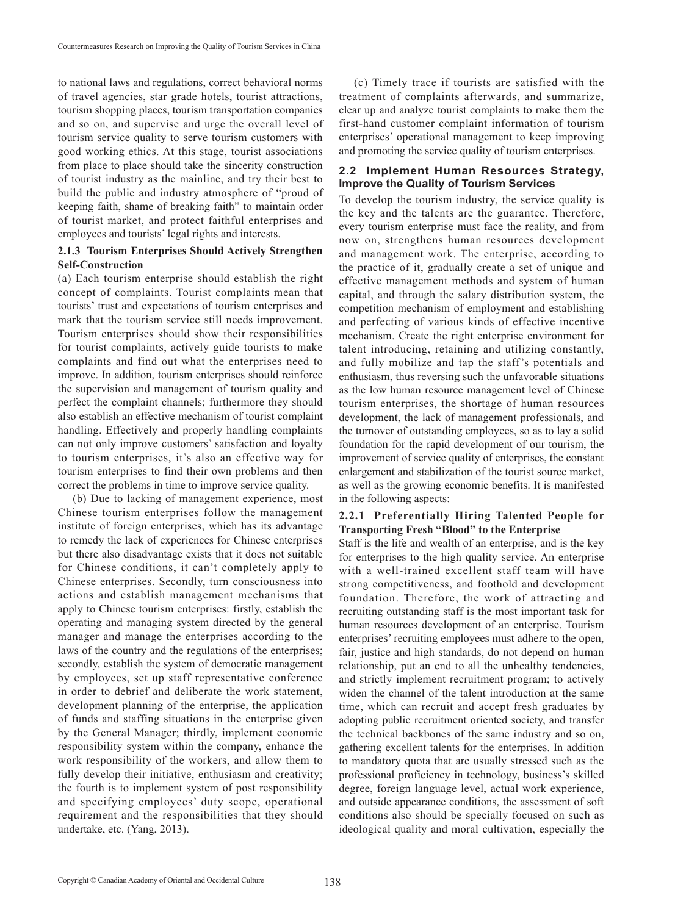to national laws and regulations, correct behavioral norms of travel agencies, star grade hotels, tourist attractions, tourism shopping places, tourism transportation companies and so on, and supervise and urge the overall level of tourism service quality to serve tourism customers with good working ethics. At this stage, tourist associations from place to place should take the sincerity construction of tourist industry as the mainline, and try their best to build the public and industry atmosphere of "proud of keeping faith, shame of breaking faith" to maintain order of tourist market, and protect faithful enterprises and employees and tourists' legal rights and interests.

### **2.1.3 Tourism Enterprises Should Actively Strengthen Self-Construction**

(a) Each tourism enterprise should establish the right concept of complaints. Tourist complaints mean that tourists' trust and expectations of tourism enterprises and mark that the tourism service still needs improvement. Tourism enterprises should show their responsibilities for tourist complaints, actively guide tourists to make complaints and find out what the enterprises need to improve. In addition, tourism enterprises should reinforce the supervision and management of tourism quality and perfect the complaint channels; furthermore they should also establish an effective mechanism of tourist complaint handling. Effectively and properly handling complaints can not only improve customers' satisfaction and loyalty to tourism enterprises, it's also an effective way for tourism enterprises to find their own problems and then correct the problems in time to improve service quality.

(b) Due to lacking of management experience, most Chinese tourism enterprises follow the management institute of foreign enterprises, which has its advantage to remedy the lack of experiences for Chinese enterprises but there also disadvantage exists that it does not suitable for Chinese conditions, it can't completely apply to Chinese enterprises. Secondly, turn consciousness into actions and establish management mechanisms that apply to Chinese tourism enterprises: firstly, establish the operating and managing system directed by the general manager and manage the enterprises according to the laws of the country and the regulations of the enterprises; secondly, establish the system of democratic management by employees, set up staff representative conference in order to debrief and deliberate the work statement, development planning of the enterprise, the application of funds and staffing situations in the enterprise given by the General Manager; thirdly, implement economic responsibility system within the company, enhance the work responsibility of the workers, and allow them to fully develop their initiative, enthusiasm and creativity; the fourth is to implement system of post responsibility and specifying employees' duty scope, operational requirement and the responsibilities that they should undertake, etc. (Yang, 2013).

(c) Timely trace if tourists are satisfied with the treatment of complaints afterwards, and summarize, clear up and analyze tourist complaints to make them the first-hand customer complaint information of tourism enterprises' operational management to keep improving and promoting the service quality of tourism enterprises.

### **2.2 Implement Human Resources Strategy, Improve the Quality of Tourism Services**

To develop the tourism industry, the service quality is the key and the talents are the guarantee. Therefore, every tourism enterprise must face the reality, and from now on, strengthens human resources development and management work. The enterprise, according to the practice of it, gradually create a set of unique and effective management methods and system of human capital, and through the salary distribution system, the competition mechanism of employment and establishing and perfecting of various kinds of effective incentive mechanism. Create the right enterprise environment for talent introducing, retaining and utilizing constantly, and fully mobilize and tap the staff's potentials and enthusiasm, thus reversing such the unfavorable situations as the low human resource management level of Chinese tourism enterprises, the shortage of human resources development, the lack of management professionals, and the turnover of outstanding employees, so as to lay a solid foundation for the rapid development of our tourism, the improvement of service quality of enterprises, the constant enlargement and stabilization of the tourist source market, as well as the growing economic benefits. It is manifested in the following aspects:

### **2.2.1 Preferentially Hiring Talented People for Transporting Fresh "Blood" to the Enterprise**

Staff is the life and wealth of an enterprise, and is the key for enterprises to the high quality service. An enterprise with a well-trained excellent staff team will have strong competitiveness, and foothold and development foundation. Therefore, the work of attracting and recruiting outstanding staff is the most important task for human resources development of an enterprise. Tourism enterprises' recruiting employees must adhere to the open, fair, justice and high standards, do not depend on human relationship, put an end to all the unhealthy tendencies, and strictly implement recruitment program; to actively widen the channel of the talent introduction at the same time, which can recruit and accept fresh graduates by adopting public recruitment oriented society, and transfer the technical backbones of the same industry and so on, gathering excellent talents for the enterprises. In addition to mandatory quota that are usually stressed such as the professional proficiency in technology, business's skilled degree, foreign language level, actual work experience, and outside appearance conditions, the assessment of soft conditions also should be specially focused on such as ideological quality and moral cultivation, especially the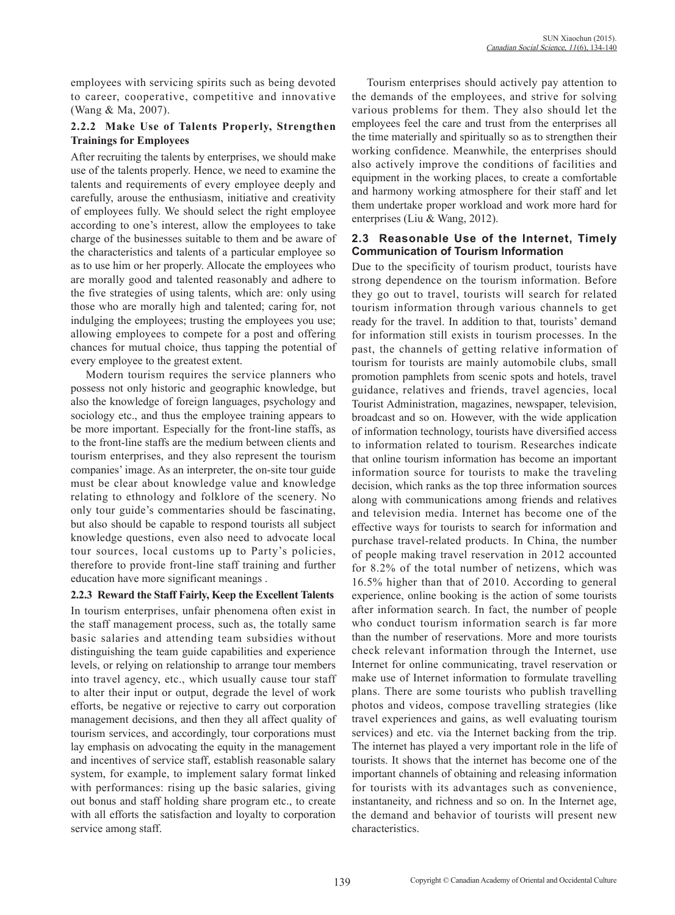employees with servicing spirits such as being devoted to career, cooperative, competitive and innovative (Wang & Ma, 2007).

## **2.2.2 Make Use of Talents Properly, Strengthen Trainings for Employees**

After recruiting the talents by enterprises, we should make use of the talents properly. Hence, we need to examine the talents and requirements of every employee deeply and carefully, arouse the enthusiasm, initiative and creativity of employees fully. We should select the right employee according to one's interest, allow the employees to take charge of the businesses suitable to them and be aware of the characteristics and talents of a particular employee so as to use him or her properly. Allocate the employees who are morally good and talented reasonably and adhere to the five strategies of using talents, which are: only using those who are morally high and talented; caring for, not indulging the employees; trusting the employees you use; allowing employees to compete for a post and offering chances for mutual choice, thus tapping the potential of every employee to the greatest extent.

Modern tourism requires the service planners who possess not only historic and geographic knowledge, but also the knowledge of foreign languages, psychology and sociology etc., and thus the employee training appears to be more important. Especially for the front-line staffs, as to the front-line staffs are the medium between clients and tourism enterprises, and they also represent the tourism companies' image. As an interpreter, the on-site tour guide must be clear about knowledge value and knowledge relating to ethnology and folklore of the scenery. No only tour guide's commentaries should be fascinating, but also should be capable to respond tourists all subject knowledge questions, even also need to advocate local tour sources, local customs up to Party's policies, therefore to provide front-line staff training and further education have more significant meanings .

**2.2.3 Reward the Staff Fairly, Keep the Excellent Talents** In tourism enterprises, unfair phenomena often exist in the staff management process, such as, the totally same basic salaries and attending team subsidies without distinguishing the team guide capabilities and experience levels, or relying on relationship to arrange tour members into travel agency, etc., which usually cause tour staff to alter their input or output, degrade the level of work efforts, be negative or rejective to carry out corporation management decisions, and then they all affect quality of tourism services, and accordingly, tour corporations must lay emphasis on advocating the equity in the management and incentives of service staff, establish reasonable salary system, for example, to implement salary format linked with performances: rising up the basic salaries, giving out bonus and staff holding share program etc., to create with all efforts the satisfaction and loyalty to corporation service among staff.

Tourism enterprises should actively pay attention to the demands of the employees, and strive for solving various problems for them. They also should let the employees feel the care and trust from the enterprises all the time materially and spiritually so as to strengthen their working confidence. Meanwhile, the enterprises should also actively improve the conditions of facilities and equipment in the working places, to create a comfortable and harmony working atmosphere for their staff and let them undertake proper workload and work more hard for enterprises (Liu & Wang, 2012).

## **2.3 Reasonable Use of the Internet, Timely Communication of Tourism Information**

Due to the specificity of tourism product, tourists have strong dependence on the tourism information. Before they go out to travel, tourists will search for related tourism information through various channels to get ready for the travel. In addition to that, tourists' demand for information still exists in tourism processes. In the past, the channels of getting relative information of tourism for tourists are mainly automobile clubs, small promotion pamphlets from scenic spots and hotels, travel guidance, relatives and friends, travel agencies, local Tourist Administration, magazines, newspaper, television, broadcast and so on. However, with the wide application of information technology, tourists have diversified access to information related to tourism. Researches indicate that online tourism information has become an important information source for tourists to make the traveling decision, which ranks as the top three information sources along with communications among friends and relatives and television media. Internet has become one of the effective ways for tourists to search for information and purchase travel-related products. In China, the number of people making travel reservation in 2012 accounted for 8.2% of the total number of netizens, which was 16.5% higher than that of 2010. According to general experience, online booking is the action of some tourists after information search. In fact, the number of people who conduct tourism information search is far more than the number of reservations. More and more tourists check relevant information through the Internet, use Internet for online communicating, travel reservation or make use of Internet information to formulate travelling plans. There are some tourists who publish travelling photos and videos, compose travelling strategies (like travel experiences and gains, as well evaluating tourism services) and etc. via the Internet backing from the trip. The internet has played a very important role in the life of tourists. It shows that the internet has become one of the important channels of obtaining and releasing information for tourists with its advantages such as convenience, instantaneity, and richness and so on. In the Internet age, the demand and behavior of tourists will present new characteristics.